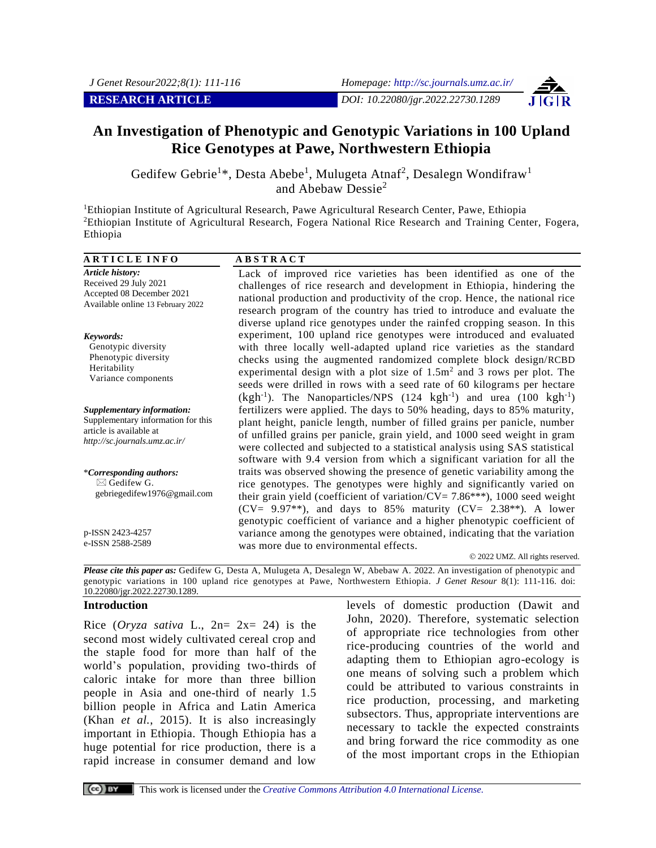

# **An Investigation of Phenotypic and Genotypic Variations in 100 Upland Rice Genotypes at Pawe, Northwestern Ethiopia**

Gedifew Gebrie<sup>1\*</sup>, Desta Abebe<sup>1</sup>, Mulugeta Atnaf<sup>2</sup>, Desalegn Wondifraw<sup>1</sup> and Abebaw Dessie<sup>2</sup>

<sup>1</sup>Ethiopian Institute of Agricultural Research, Pawe Agricultural Research Center, Pawe, Ethiopia <sup>2</sup>Ethiopian Institute of Agricultural Research, Fogera National Rice Research and Training Center, Fogera, Ethiopia

| <b>ARTICLE INFO</b>                                                                                                          | <b>ABSTRACT</b>                                                                                                                                                                                                                                                                                                                                                                                                                                                                                                                                        |
|------------------------------------------------------------------------------------------------------------------------------|--------------------------------------------------------------------------------------------------------------------------------------------------------------------------------------------------------------------------------------------------------------------------------------------------------------------------------------------------------------------------------------------------------------------------------------------------------------------------------------------------------------------------------------------------------|
| <b>Article history:</b><br>Received 29 July 2021<br>Accepted 08 December 2021<br>Available online 13 February 2022           | Lack of improved rice varieties has been identified as one of the<br>challenges of rice research and development in Ethiopia, hindering the<br>national production and productivity of the crop. Hence, the national rice<br>research program of the country has tried to introduce and evaluate the                                                                                                                                                                                                                                                   |
| Keywords:<br>Genotypic diversity<br>Phenotypic diversity<br>Heritability<br>Variance components                              | diverse upland rice genotypes under the rainfed cropping season. In this<br>experiment, 100 upland rice genotypes were introduced and evaluated<br>with three locally well-adapted upland rice varieties as the standard<br>checks using the augmented randomized complete block design/RCBD<br>experimental design with a plot size of $1.5m2$ and 3 rows per plot. The<br>seeds were drilled in rows with a seed rate of 60 kilograms per hectare<br>$(kgh^{-1})$ . The Nanoparticles/NPS (124 kgh <sup>-1</sup> ) and urea (100 kgh <sup>-1</sup> ) |
| Supplementary information:<br>Supplementary information for this<br>article is available at<br>http://sc.journals.umz.ac.ir/ | fertilizers were applied. The days to 50% heading, days to 85% maturity,<br>plant height, panicle length, number of filled grains per panicle, number<br>of unfilled grains per panicle, grain yield, and 1000 seed weight in gram<br>were collected and subjected to a statistical analysis using SAS statistical<br>software with 9.4 version from which a significant variation for all the                                                                                                                                                         |
| *Corresponding authors:<br>$\boxtimes$ Gedifew G.<br>gebriegedifew1976@gmail.com                                             | traits was observed showing the presence of genetic variability among the<br>rice genotypes. The genotypes were highly and significantly varied on<br>their grain yield (coefficient of variation/ $CV = 7.86***$ ), 1000 seed weight<br>$(CV = 9.97**)$ , and days to 85% maturity $(CV = 2.38**)$ . A lower<br>genotypic coefficient of variance and a higher phenotypic coefficient of                                                                                                                                                              |
| p-ISSN 2423-4257<br>e-ISSN 2588-2589                                                                                         | variance among the genotypes were obtained, indicating that the variation<br>was more due to environmental effects.<br>© 2022 UMZ. All rights reserved.                                                                                                                                                                                                                                                                                                                                                                                                |

*Please cite this paper as:* Gedifew G, Desta A, Mulugeta A, Desalegn W, Abebaw A. 2022. An investigation of phenotypic and genotypic variations in 100 upland rice genotypes at Pawe, Northwestern Ethiopia. *J Genet Resour* 8(1): 111-116. doi: 10.22080/jgr.2022.22730.1289.

#### **Introduction**

Rice (*Oryza sativa* L.,  $2n = 2x = 24$ ) is the second most widely cultivated cereal crop and the staple food for more than half of the world's population, providing two-thirds of caloric intake for more than three billion people in Asia and one-third of nearly 1.5 billion people in Africa and Latin America (Khan *et al.*, 2015). It is also increasingly important in Ethiopia. Though Ethiopia has a huge potential for rice production, there is a rapid increase in consumer demand and low

levels of domestic production (Dawit and John, 2020). Therefore, systematic selection of appropriate rice technologies from other rice-producing countries of the world and adapting them to Ethiopian agro-ecology is one means of solving such a problem which could be attributed to various constraints in rice production, processing, and marketing subsectors. Thus, appropriate interventions are necessary to tackle the expected constraints and bring forward the rice commodity as one of the most important crops in the Ethiopian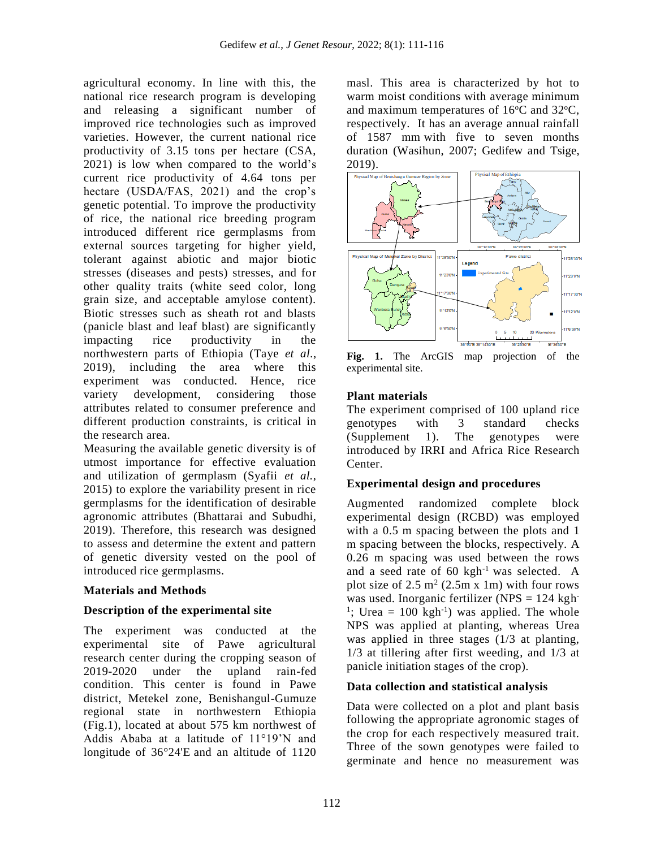agricultural economy. In line with this, the national rice research program is developing and releasing a significant number of improved rice technologies such as improved varieties. However, the current national rice productivity of 3.15 tons per hectare (CSA, 2021) is low when compared to the world's current rice productivity of 4.64 tons per hectare (USDA/FAS, 2021) and the crop's genetic potential. To improve the productivity of rice, the national rice breeding program introduced different rice germplasms from external sources targeting for higher yield, tolerant against abiotic and major biotic stresses (diseases and pests) stresses, and for other quality traits (white seed color, long grain size, and acceptable amylose content). Biotic stresses such as sheath rot and blasts (panicle blast and leaf blast) are significantly impacting rice productivity in the northwestern parts of Ethiopia (Taye *et al.*, 2019), including the area where this experiment was conducted. Hence, rice variety development, considering those attributes related to consumer preference and different production constraints, is critical in the research area.

Measuring the available genetic diversity is of utmost importance for effective evaluation and utilization of germplasm (Syafii *et al.*, 2015) to explore the variability present in rice germplasms for the identification of desirable agronomic attributes (Bhattarai and Subudhi, 2019). Therefore, this research was designed to assess and determine the extent and pattern of genetic diversity vested on the pool of introduced rice germplasms.

# **Materials and Methods**

# **Description of the experimental site**

The experiment was conducted at the experimental site of Pawe agricultural research center during the cropping season of 2019-2020 under the upland rain-fed condition. This center is found in Pawe district, Metekel zone, Benishangul-Gumuze regional state in northwestern Ethiopia (Fig.1), located at about 575 km northwest of Addis Ababa at a latitude of 11°19'N and longitude of 36°24'E and an altitude of 1120

masl. This area is characterized by hot to warm moist conditions with average minimum and maximum temperatures of  $16^{\circ}$ C and  $32^{\circ}$ C, respectively. It has an average annual rainfall of 1587 mm with five to seven months duration (Wasihun, 2007; Gedifew and Tsige, 2019).



**Fig. 1.** The ArcGIS map projection of the experimental site.

# **Plant materials**

The experiment comprised of 100 upland rice genotypes with 3 standard checks (Supplement 1). The genotypes were introduced by IRRI and Africa Rice Research Center.

# **Experimental design and procedures**

Augmented randomized complete block experimental design (RCBD) was employed with a 0.5 m spacing between the plots and 1 m spacing between the blocks, respectively. A 0.26 m spacing was used between the rows and a seed rate of  $60 \text{ kgh}^{-1}$  was selected. A plot size of  $2.5 \text{ m}^2$  (2.5m x 1m) with four rows was used. Inorganic fertilizer (NPS  $= 124$  kgh<sup>-</sup> <sup>1</sup>; Urea = 100 kgh<sup>-1</sup>) was applied. The whole NPS was applied at planting, whereas Urea was applied in three stages (1/3 at planting, 1/3 at tillering after first weeding, and 1/3 at panicle initiation stages of the crop).

# **Data collection and statistical analysis**

Data were collected on a plot and plant basis following the appropriate agronomic stages of the crop for each respectively measured trait. Three of the sown genotypes were failed to germinate and hence no measurement was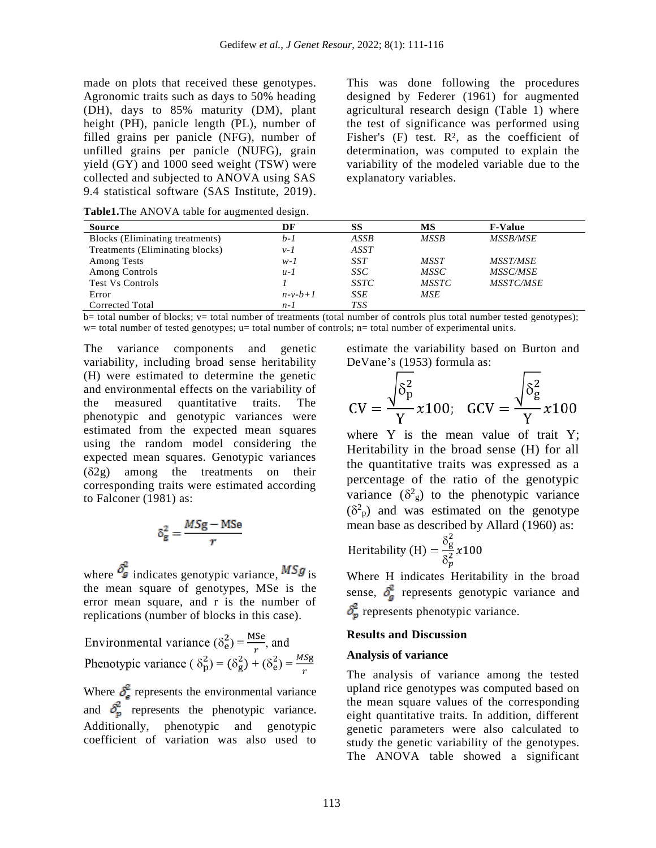made on plots that received these genotypes. Agronomic traits such as days to 50% heading (DH), days to 85% maturity (DM), plant height (PH), panicle length (PL), number of filled grains per panicle (NFG), number of unfilled grains per panicle (NUFG), grain yield (GY) and 1000 seed weight (TSW) were collected and subjected to ANOVA using SAS 9.4 statistical software (SAS Institute, 2019).

This was done following the procedures designed by Federer (1961) for augmented agricultural research design (Table 1) where the test of significance was performed using Fisher's  $(F)$  test.  $R^2$ , as the coefficient of determination, was computed to explain the variability of the modeled variable due to the explanatory variables.

**Table1.**The ANOVA table for augmented design.

| <b>Source</b>                   | DF        | SS          | MS           | <b>F-Value</b>   |
|---------------------------------|-----------|-------------|--------------|------------------|
| Blocks (Eliminating treatments) | b-1       | ASSB        | <b>MSSB</b>  | <b>MSSB/MSE</b>  |
| Treatments (Eliminating blocks) | $v-1$     | ASST        |              |                  |
| Among Tests                     | $w-I$     | <b>SST</b>  | <b>MSST</b>  | <b>MSST/MSE</b>  |
| <b>Among Controls</b>           | $u-1$     | SSC         | MSSC         | <b>MSSC/MSE</b>  |
| <b>Test Vs Controls</b>         |           | <i>SSTC</i> | <i>MSSTC</i> | <b>MSSTC/MSE</b> |
| Error                           | $n-v-b+1$ | <b>SSE</b>  | <b>MSE</b>   |                  |
| Corrected Total                 | $n-1$     | TSS         |              |                  |

 $\overline{b}$  total number of blocks; v= total number of treatments (total number of controls plus total number tested genotypes);  $w=$  total number of tested genotypes; u= total number of controls; n= total number of experimental units.

The variance components and genetic variability, including broad sense heritability (H) were estimated to determine the genetic and environmental effects on the variability of the measured quantitative traits. The phenotypic and genotypic variances were estimated from the expected mean squares using the random model considering the expected mean squares. Genotypic variances  $(\delta 2g)$  among the treatments on their corresponding traits were estimated according to Falconer (1981) as:

$$
\delta_{\rm g}^2 = \frac{MS{\rm g}-{\rm MS}{\rm e}}{r}
$$

where  $\delta_g^2$  indicates genotypic variance,  $MSg$  is the mean square of genotypes, MSe is the error mean square, and r is the number of replications (number of blocks in this case).

Environmental variance  $(\delta_e^2) = \frac{Mse}{r}$ , and Phenotypic variance ( $\delta_p^2$ ) =  $(\delta_g^2) + (\delta_e^2) = \frac{Msg}{r}$ 

Where  $\delta_{\rm e}^2$  represents the environmental variance and  $\delta_n^2$  represents the phenotypic variance. Additionally, phenotypic and genotypic coefficient of variation was also used to estimate the variability based on Burton and DeVane's (1953) formula as:

$$
CV = \frac{\sqrt{\delta_p^2}}{Y} \times 100; \quad GCV = \frac{\sqrt{\delta_g^2}}{Y} \times 100
$$

where Y is the mean value of trait Y; Heritability in the broad sense (H) for all the quantitative traits was expressed as a percentage of the ratio of the genotypic variance  $(\delta^2 g)$  to the phenotypic variance  $(\delta^2$ <sub>p</sub>) and was estimated on the genotype mean base as described by Allard (1960) as:

Heritability (H) = 
$$
\frac{\delta_g^2}{\delta_n^2} x 100
$$

Where H indicates Heritability in the broad sense,  $\delta^2$  represents genotypic variance and represents phenotypic variance.

# **Results and Discussion**

#### **Analysis of variance**

The analysis of variance among the tested upland rice genotypes was computed based on the mean square values of the corresponding eight quantitative traits. In addition, different genetic parameters were also calculated to study the genetic variability of the genotypes. The ANOVA table showed a significant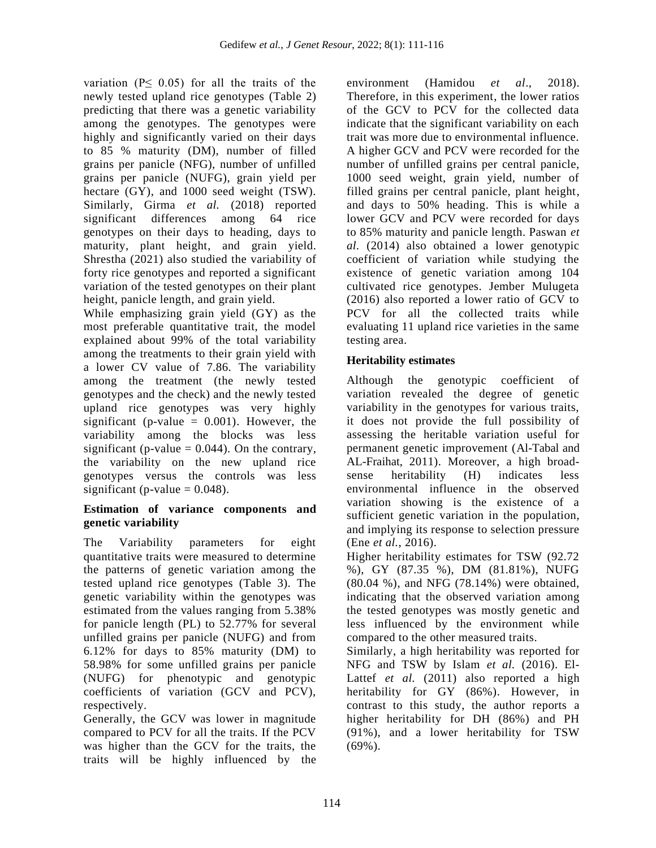variation ( $P \leq 0.05$ ) for all the traits of the newly tested upland rice genotypes (Table 2) predicting that there was a genetic variability among the genotypes. The genotypes were highly and significantly varied on their days to 85 % maturity (DM), number of filled grains per panicle (NFG), number of unfilled grains per panicle (NUFG), grain yield per hectare (GY), and 1000 seed weight (TSW). Similarly, Girma *et al.* (2018) reported significant differences among 64 rice genotypes on their days to heading, days to maturity, plant height, and grain yield. Shrestha (2021) also studied the variability of forty rice genotypes and reported a significant variation of the tested genotypes on their plant height, panicle length, and grain yield.

While emphasizing grain yield (GY) as the most preferable quantitative trait, the model explained about 99% of the total variability among the treatments to their grain yield with a lower CV value of 7.86. The variability among the treatment (the newly tested genotypes and the check) and the newly tested upland rice genotypes was very highly significant (p-value  $= 0.001$ ). However, the variability among the blocks was less significant (p-value  $= 0.044$ ). On the contrary, the variability on the new upland rice genotypes versus the controls was less significant (p-value  $= 0.048$ ).

# **Estimation of variance components and genetic variability**

The Variability parameters for eight quantitative traits were measured to determine the patterns of genetic variation among the tested upland rice genotypes (Table 3). The genetic variability within the genotypes was estimated from the values ranging from 5.38% for panicle length (PL) to 52.77% for several unfilled grains per panicle (NUFG) and from 6.12% for days to 85% maturity (DM) to 58.98% for some unfilled grains per panicle (NUFG) for phenotypic and genotypic coefficients of variation (GCV and PCV), respectively.

Generally, the GCV was lower in magnitude compared to PCV for all the traits. If the PCV was higher than the GCV for the traits, the traits will be highly influenced by the environment (Hamidou *et al*., 2018). Therefore, in this experiment, the lower ratios of the GCV to PCV for the collected data indicate that the significant variability on each trait was more due to environmental influence. A higher GCV and PCV were recorded for the number of unfilled grains per central panicle, 1000 seed weight, grain yield, number of filled grains per central panicle, plant height, and days to 50% heading. This is while a lower GCV and PCV were recorded for days to 85% maturity and panicle length. Paswan *et al.* (2014) also obtained a lower genotypic coefficient of variation while studying the existence of genetic variation among 104 cultivated rice genotypes. Jember Mulugeta (2016) also reported a lower ratio of GCV to PCV for all the collected traits while evaluating 11 upland rice varieties in the same testing area.

# **Heritability estimates**

Although the genotypic coefficient of variation revealed the degree of genetic variability in the genotypes for various traits, it does not provide the full possibility of assessing the heritable variation useful for permanent genetic improvement (Al-Tabal and AL-Fraihat, 2011). Moreover, a high broadsense heritability (H) indicates less environmental influence in the observed variation showing is the existence of a sufficient genetic variation in the population, and implying its response to selection pressure (Ene *et al.*, 2016).

Higher heritability estimates for TSW (92.72 %), GY (87.35 %), DM (81.81%), NUFG (80.04 %), and NFG (78.14%) were obtained, indicating that the observed variation among the tested genotypes was mostly genetic and less influenced by the environment while compared to the other measured traits.

Similarly, a high heritability was reported for NFG and TSW by Islam *et al.* (2016). El-Lattef *et al.* (2011) also reported a high heritability for GY (86%). However, in contrast to this study, the author reports a higher heritability for DH (86%) and PH (91%), and a lower heritability for TSW  $(69\%)$ .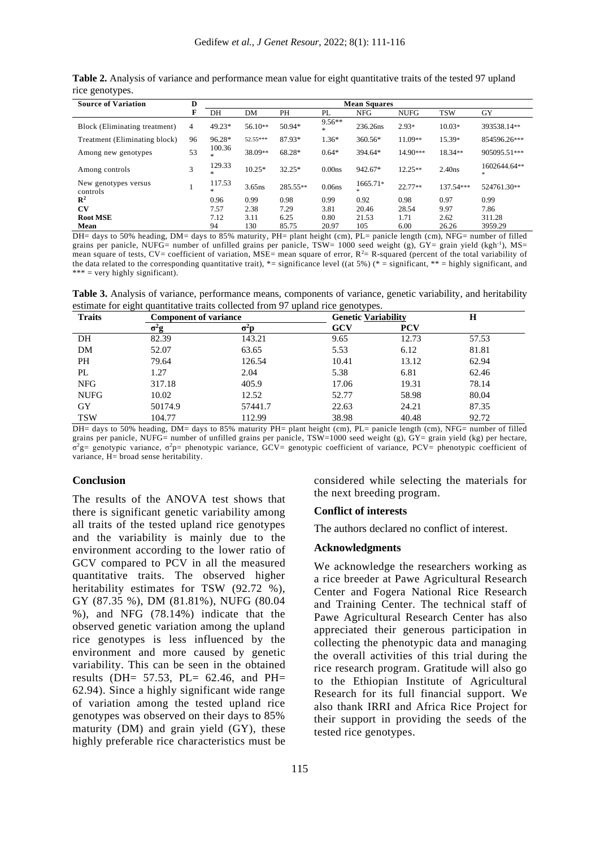| ັ<br>$\sim$ 1<br><b>Source of Variation</b> | D              | <b>Mean Squares</b> |           |          |                    |               |             |            |                   |
|---------------------------------------------|----------------|---------------------|-----------|----------|--------------------|---------------|-------------|------------|-------------------|
|                                             | F              | DH                  | DM        | PH       | PL                 | NFG           | <b>NUFG</b> | <b>TSW</b> | <b>GY</b>         |
| Block (Eliminating treatment)               | $\overline{4}$ | 49.23*              | $56.10**$ | 50.94*   | $9.56**$<br>*      | 236.26ns      | $2.93*$     | $10.03*$   | 393538.14**       |
| Treatment (Eliminating block)               | 96             | 96.28*              | 52.55***  | 87.93*   | $1.36*$            | 360.56*       | 11.09**     | 15.39*     | 854596.26***      |
| Among new genotypes                         | 53             | 100.36<br>*         | 38.09**   | 68.28*   | $0.64*$            | 394.64*       | 14.90***    | 18.34**    | 905095.51***      |
| Among controls                              | 3              | 129.33<br>*         | $10.25*$  | 32.25*   | 0.00ns             | 942.67*       | $12.25**$   | $2.40$ ns  | 1602644.64**<br>* |
| New genotypes versus<br>controls            |                | 117.53<br>$\ast$    | $3.65$ ns | 285.55** | 0.06 <sub>ns</sub> | 1665.71*<br>* | $22.77**$   | 137.54***  | 524761.30**       |
| $\mathbb{R}^2$                              |                | 0.96                | 0.99      | 0.98     | 0.99               | 0.92          | 0.98        | 0.97       | 0.99              |
| CV                                          |                | 7.57                | 2.38      | 7.29     | 3.81               | 20.46         | 28.54       | 9.97       | 7.86              |
| <b>Root MSE</b>                             |                | 7.12                | 3.11      | 6.25     | 0.80               | 21.53         | 1.71        | 2.62       | 311.28            |
| Mean                                        |                | 94                  | 130       | 85.75    | 20.97              | 105           | 6.00        | 26.26      | 3959.29           |

**Table 2.** Analysis of variance and performance mean value for eight quantitative traits of the tested 97 upland rice genotypes.

DH= days to 50% heading, DM= days to 85% maturity, PH= plant height (cm), PL= panicle length (cm), NFG= number of filled grains per panicle, NUFG= number of unfilled grains per panicle, TSW= 1000 seed weight (g), GY= grain yield (kgh<sup>-1</sup>), MS= mean square of tests, CV= coefficient of variation, MSE= mean square of error,  $R^2 = R$ -squared (percent of the total variability of the data related to the corresponding quantitative trait), \*= significance level ((at 5%) (\* = significant, \*\* = highly significant, and  $*** =$  very highly significant).

**Table 3.** Analysis of variance, performance means, components of variance, genetic variability, and heritability estimate for eight quantitative traits collected from 97 upland rice genotypes.

| $\sqrt{2}$<br><b>Traits</b> | <b>Component of variance</b> |         | <b>Genetic Variability</b> |            | H     |
|-----------------------------|------------------------------|---------|----------------------------|------------|-------|
|                             | σ"g                          | σ⊓      | GCV                        | <b>PCV</b> |       |
| DH                          | 82.39                        | 143.21  | 9.65                       | 12.73      | 57.53 |
| DM                          | 52.07                        | 63.65   | 5.53                       | 6.12       | 81.81 |
| PH                          | 79.64                        | 126.54  | 10.41                      | 13.12      | 62.94 |
| PL                          | 1.27                         | 2.04    | 5.38                       | 6.81       | 62.46 |
| <b>NFG</b>                  | 317.18                       | 405.9   | 17.06                      | 19.31      | 78.14 |
| <b>NUFG</b>                 | 10.02                        | 12.52   | 52.77                      | 58.98      | 80.04 |
| GY                          | 50174.9                      | 57441.7 | 22.63                      | 24.21      | 87.35 |
| <b>TSW</b>                  | 104.77                       | 112.99  | 38.98                      | 40.48      | 92.72 |

DH= days to 50% heading, DM= days to 85% maturity PH= plant height (cm), PL= panicle length (cm), NFG= number of filled grains per panicle, NUFG= number of unfilled grains per panicle, TSW=1000 seed weight (g),  $\overline{GY}$ = grain yield (kg) per hectare,  $\sigma^2$ g= genotypic variance,  $\sigma^2$ p= phenotypic variance, GCV= genotypic coefficient of variance, PCV= phenotypic coefficient of variance, H= broad sense heritability.

#### **Conclusion**

The results of the ANOVA test shows that there is significant genetic variability among all traits of the tested upland rice genotypes and the variability is mainly due to the environment according to the lower ratio of GCV compared to PCV in all the measured quantitative traits. The observed higher heritability estimates for TSW (92.72 %), GY (87.35 %), DM (81.81%), NUFG (80.04 %), and NFG (78.14%) indicate that the observed genetic variation among the upland rice genotypes is less influenced by the environment and more caused by genetic variability. This can be seen in the obtained results (DH= 57.53, PL= 62.46, and PH= 62.94). Since a highly significant wide range of variation among the tested upland rice genotypes was observed on their days to 85% maturity (DM) and grain yield (GY), these highly preferable rice characteristics must be considered while selecting the materials for the next breeding program.

#### **Conflict of interests**

The authors declared no conflict of interest.

#### **Acknowledgments**

We acknowledge the researchers working as a rice breeder at Pawe Agricultural Research Center and Fogera National Rice Research and Training Center. The technical staff of Pawe Agricultural Research Center has also appreciated their generous participation in collecting the phenotypic data and managing the overall activities of this trial during the rice research program. Gratitude will also go to the Ethiopian Institute of Agricultural Research for its full financial support. We also thank IRRI and Africa Rice Project for their support in providing the seeds of the tested rice genotypes.